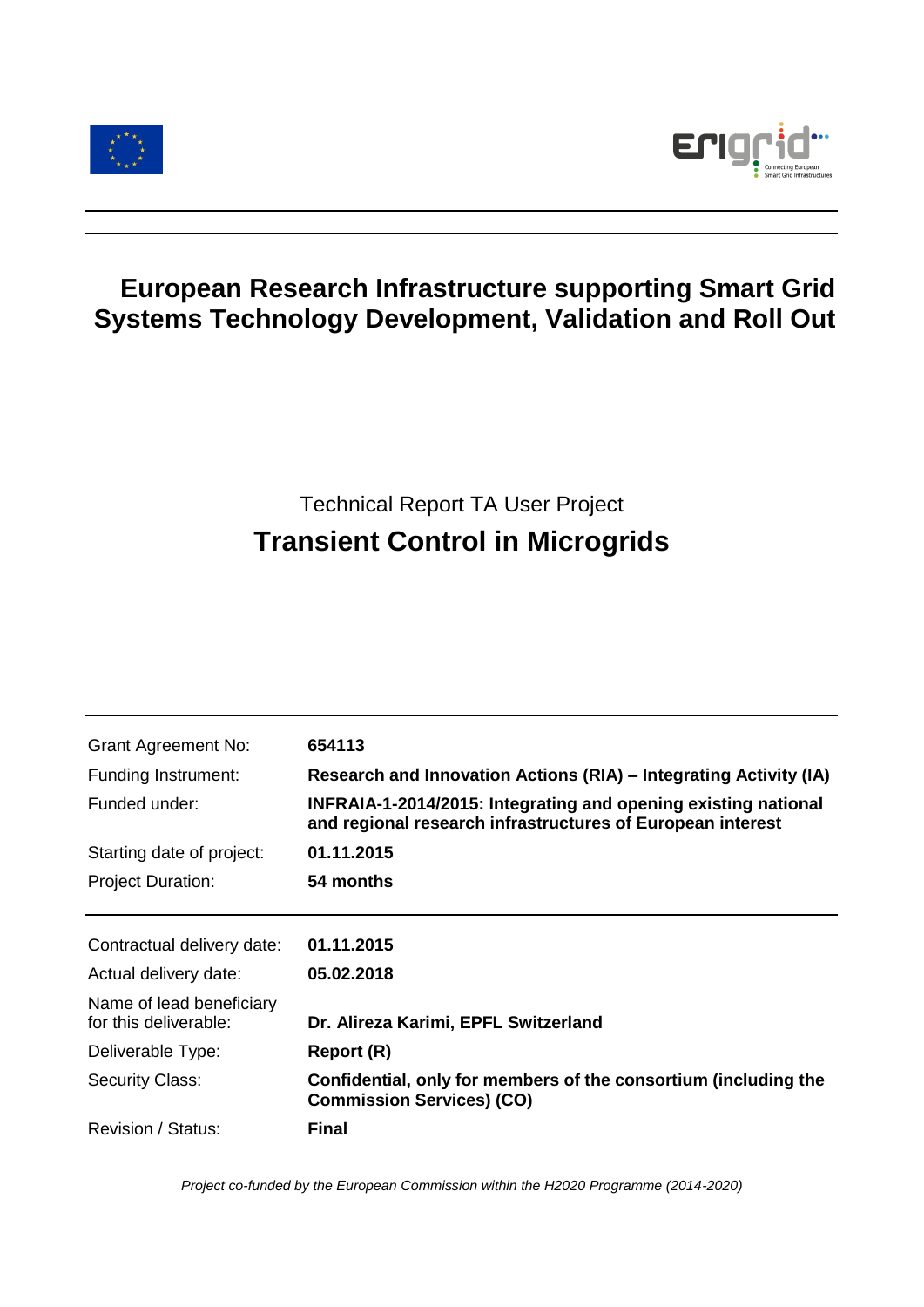



## **European Research Infrastructure supporting Smart Grid Systems Technology Development, Validation and Roll Out**

# Technical Report TA User Project **Transient Control in Microgrids**

| <b>Grant Agreement No:</b>                        | 654113                                                                                                                       |  |
|---------------------------------------------------|------------------------------------------------------------------------------------------------------------------------------|--|
| Funding Instrument:                               | Research and Innovation Actions (RIA) - Integrating Activity (IA)                                                            |  |
| Funded under:                                     | INFRAIA-1-2014/2015: Integrating and opening existing national<br>and regional research infrastructures of European interest |  |
| Starting date of project:                         | 01.11.2015                                                                                                                   |  |
| <b>Project Duration:</b>                          | 54 months                                                                                                                    |  |
| Contractual delivery date:                        | 01.11.2015                                                                                                                   |  |
| Actual delivery date:                             | 05.02.2018                                                                                                                   |  |
| Name of lead beneficiary<br>for this deliverable: | Dr. Alireza Karimi, EPFL Switzerland                                                                                         |  |
| Deliverable Type:                                 | Report (R)                                                                                                                   |  |
| <b>Security Class:</b>                            | Confidential, only for members of the consortium (including the<br><b>Commission Services) (CO)</b>                          |  |
| Revision / Status:                                | Final                                                                                                                        |  |

*Project co-funded by the European Commission within the H2020 Programme (2014-2020)*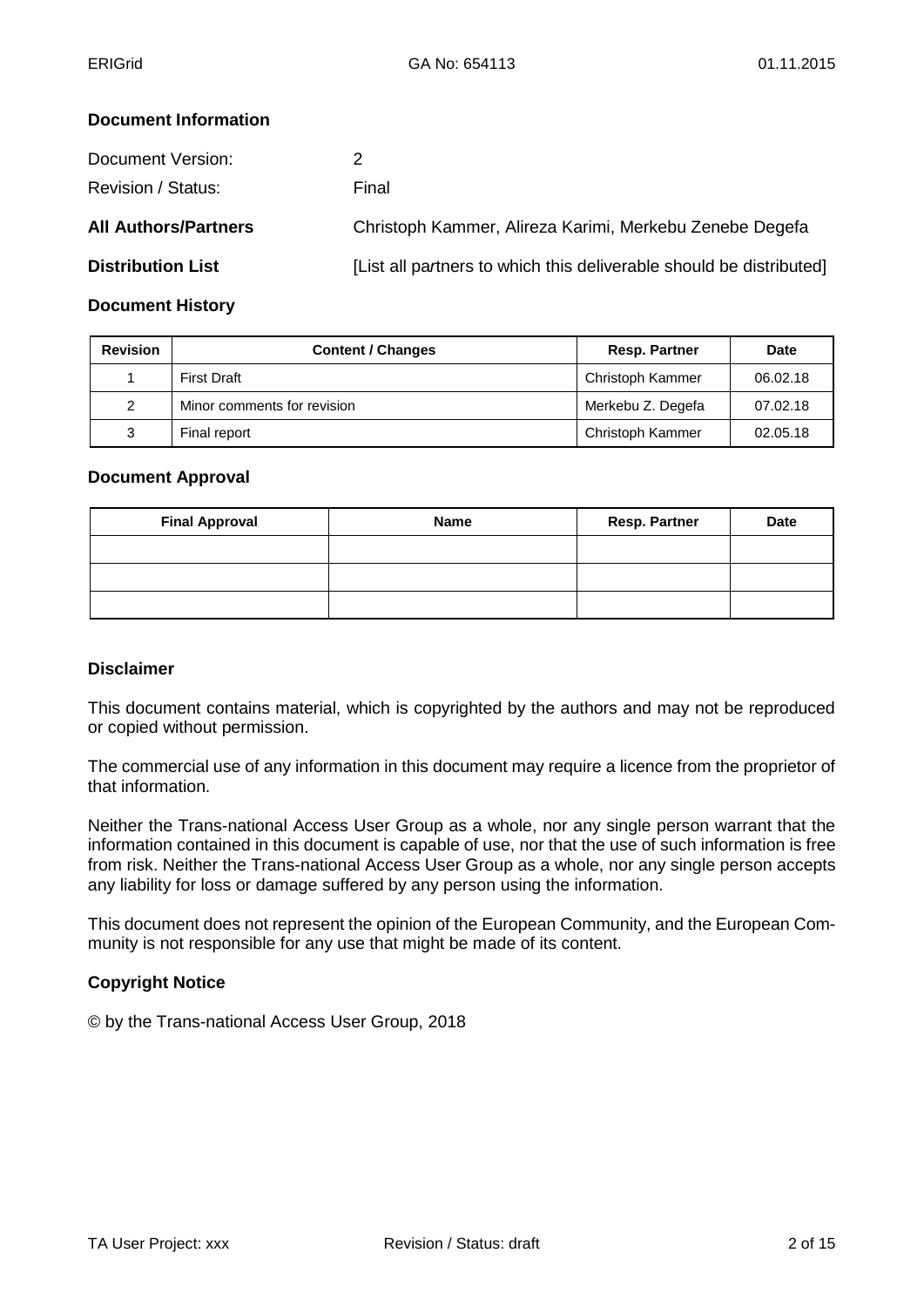## **Document Information**

| Document Version:           | 2                                                                   |
|-----------------------------|---------------------------------------------------------------------|
| Revision / Status:          | Final                                                               |
| <b>All Authors/Partners</b> | Christoph Kammer, Alireza Karimi, Merkebu Zenebe Degefa             |
| <b>Distribution List</b>    | [List all partners to which this deliverable should be distributed] |

## **Document History**

| <b>Revision</b> | <b>Content / Changes</b>    | <b>Resp. Partner</b> | <b>Date</b> |
|-----------------|-----------------------------|----------------------|-------------|
|                 | <b>First Draft</b>          | Christoph Kammer     | 06.02.18    |
| 2               | Minor comments for revision | Merkebu Z. Degefa    | 07.02.18    |
| 3               | Final report                | Christoph Kammer     | 02.05.18    |

#### **Document Approval**

| <b>Final Approval</b> | <b>Name</b> | <b>Resp. Partner</b> | <b>Date</b> |
|-----------------------|-------------|----------------------|-------------|
|                       |             |                      |             |
|                       |             |                      |             |
|                       |             |                      |             |

#### **Disclaimer**

This document contains material, which is copyrighted by the authors and may not be reproduced or copied without permission.

The commercial use of any information in this document may require a licence from the proprietor of that information.

Neither the Trans-national Access User Group as a whole, nor any single person warrant that the information contained in this document is capable of use, nor that the use of such information is free from risk. Neither the Trans-national Access User Group as a whole, nor any single person accepts any liability for loss or damage suffered by any person using the information.

This document does not represent the opinion of the European Community, and the European Community is not responsible for any use that might be made of its content.

## **Copyright Notice**

© by the Trans-national Access User Group, 2018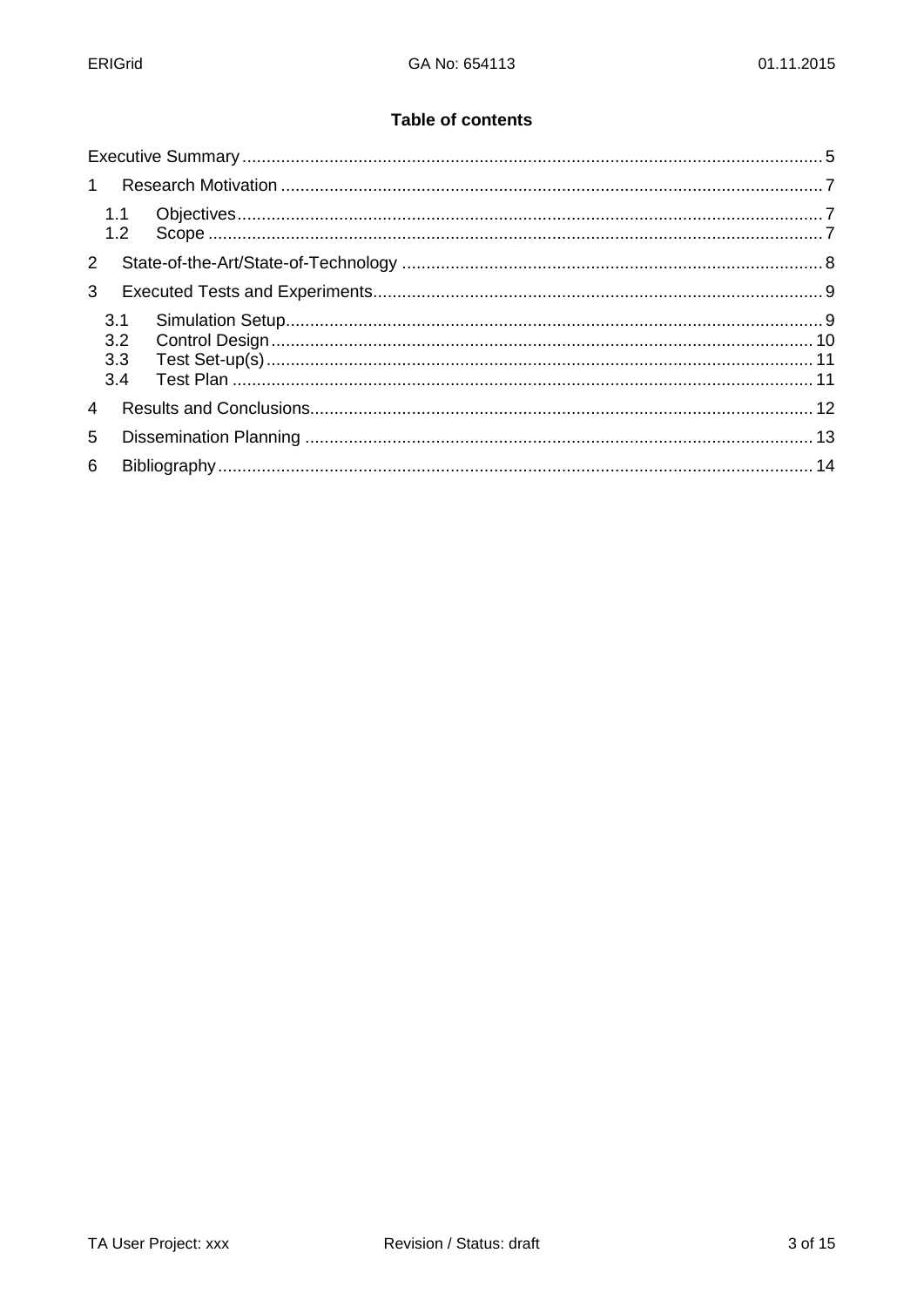### **Table of contents**

| $\mathbf{1}$   |                          |  |  |
|----------------|--------------------------|--|--|
|                | 1.1                      |  |  |
| $2^{\circ}$    |                          |  |  |
| 3              |                          |  |  |
|                | 3.1<br>3.2<br>3.3<br>3.4 |  |  |
| $\overline{4}$ |                          |  |  |
| 5              |                          |  |  |
| 6              |                          |  |  |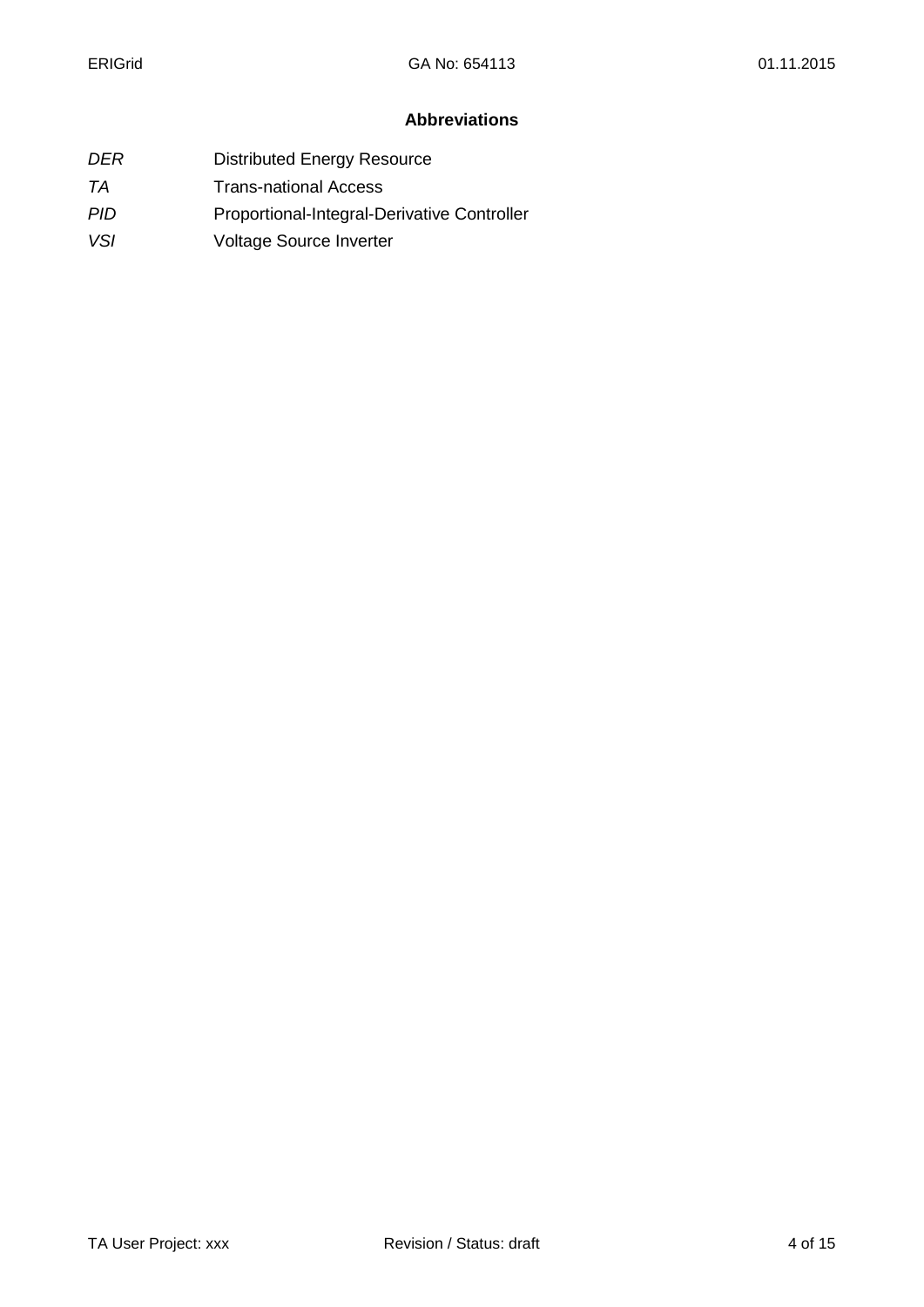## **Abbreviations**

- *DER* Distributed Energy Resource
- **TA** Trans-national Access
- PID Proportional-Integral-Derivative Controller
- *VSI* Voltage Source Inverter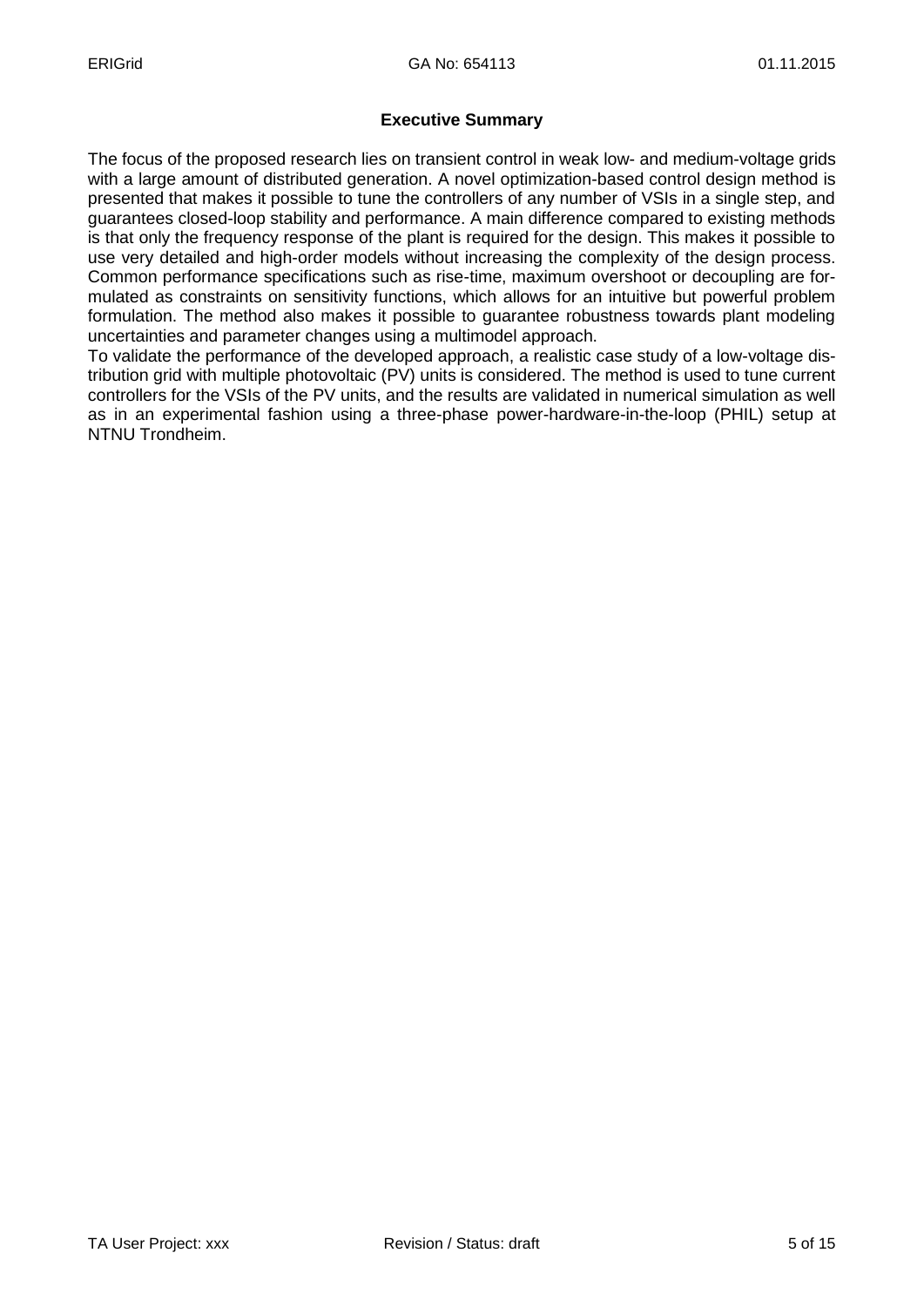## **Executive Summary**

The focus of the proposed research lies on transient control in weak low- and medium-voltage grids with a large amount of distributed generation. A novel optimization-based control design method is presented that makes it possible to tune the controllers of any number of VSIs in a single step, and guarantees closed-loop stability and performance. A main difference compared to existing methods is that only the frequency response of the plant is required for the design. This makes it possible to use very detailed and high-order models without increasing the complexity of the design process. Common performance specifications such as rise-time, maximum overshoot or decoupling are formulated as constraints on sensitivity functions, which allows for an intuitive but powerful problem formulation. The method also makes it possible to guarantee robustness towards plant modeling uncertainties and parameter changes using a multimodel approach.

To validate the performance of the developed approach, a realistic case study of a low-voltage distribution grid with multiple photovoltaic (PV) units is considered. The method is used to tune current controllers for the VSIs of the PV units, and the results are validated in numerical simulation as well as in an experimental fashion using a three-phase power-hardware-in-the-loop (PHIL) setup at NTNU Trondheim.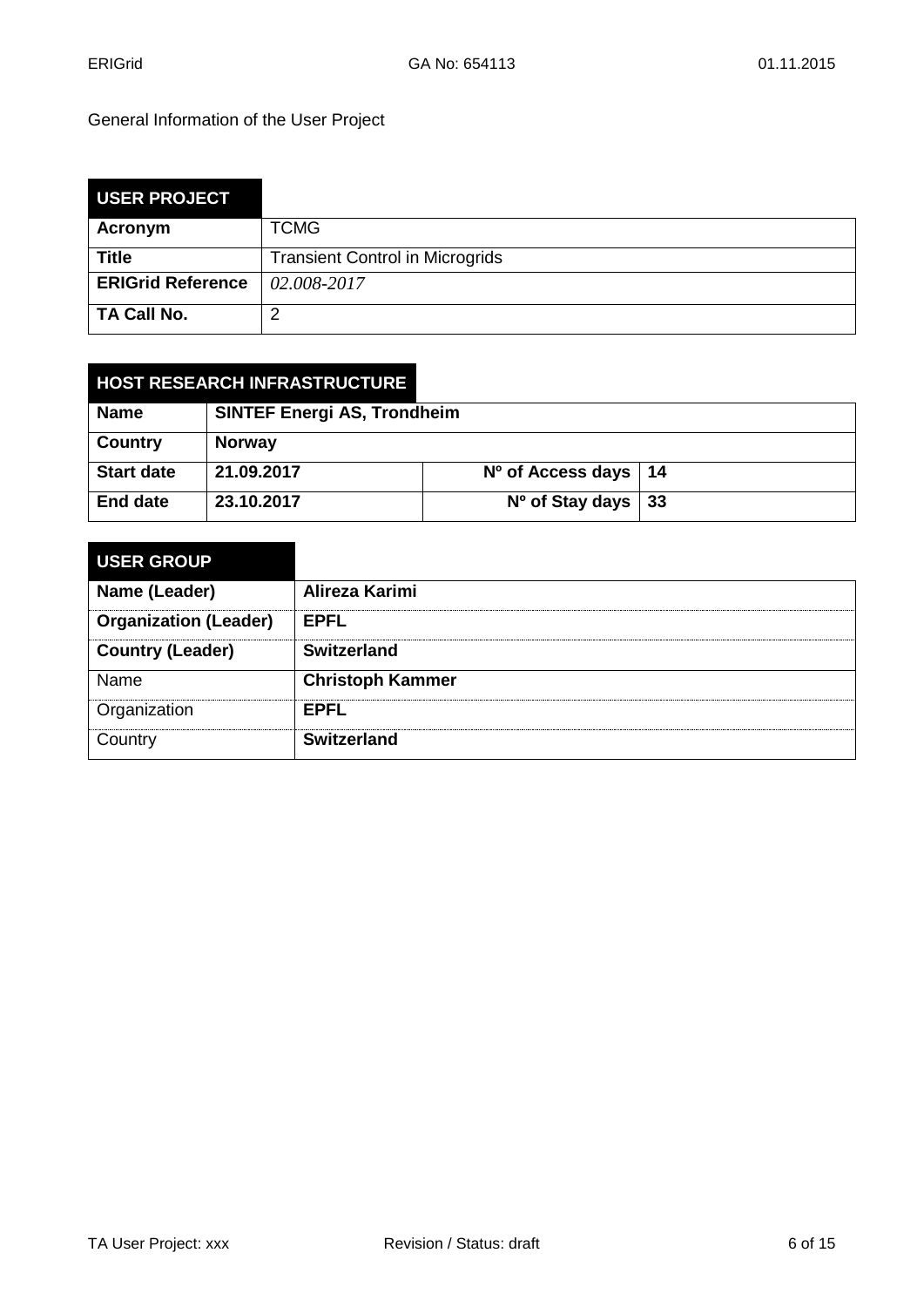General Information of the User Project

| <b>USER PROJECT</b>      |                                        |
|--------------------------|----------------------------------------|
| Acronym                  | <b>TCMG</b>                            |
| <b>Title</b>             | <b>Transient Control in Microgrids</b> |
| <b>ERIGrid Reference</b> | 02.008-2017                            |
| TA Call No.              | າ                                      |

| <b>HOST RESEARCH INFRASTRUCTURE</b> |                                    |                          |     |
|-------------------------------------|------------------------------------|--------------------------|-----|
| <b>Name</b>                         | <b>SINTEF Energi AS, Trondheim</b> |                          |     |
| <b>Country</b>                      | <b>Norway</b>                      |                          |     |
| <b>Start date</b>                   | 21.09.2017                         | $No$ of Access days   14 |     |
| <b>End date</b>                     | 23.10.2017                         | $No$ of Stay days        | -33 |

| <b>USER GROUP</b>            |                         |
|------------------------------|-------------------------|
| Name (Leader)                | Alireza Karimi          |
| <b>Organization (Leader)</b> | <b>EPFL</b>             |
| <b>Country (Leader)</b>      | <b>Switzerland</b>      |
| Name                         | <b>Christoph Kammer</b> |
| Organization                 | <b>EPFL</b>             |
| Country                      | <b>Switzerland</b>      |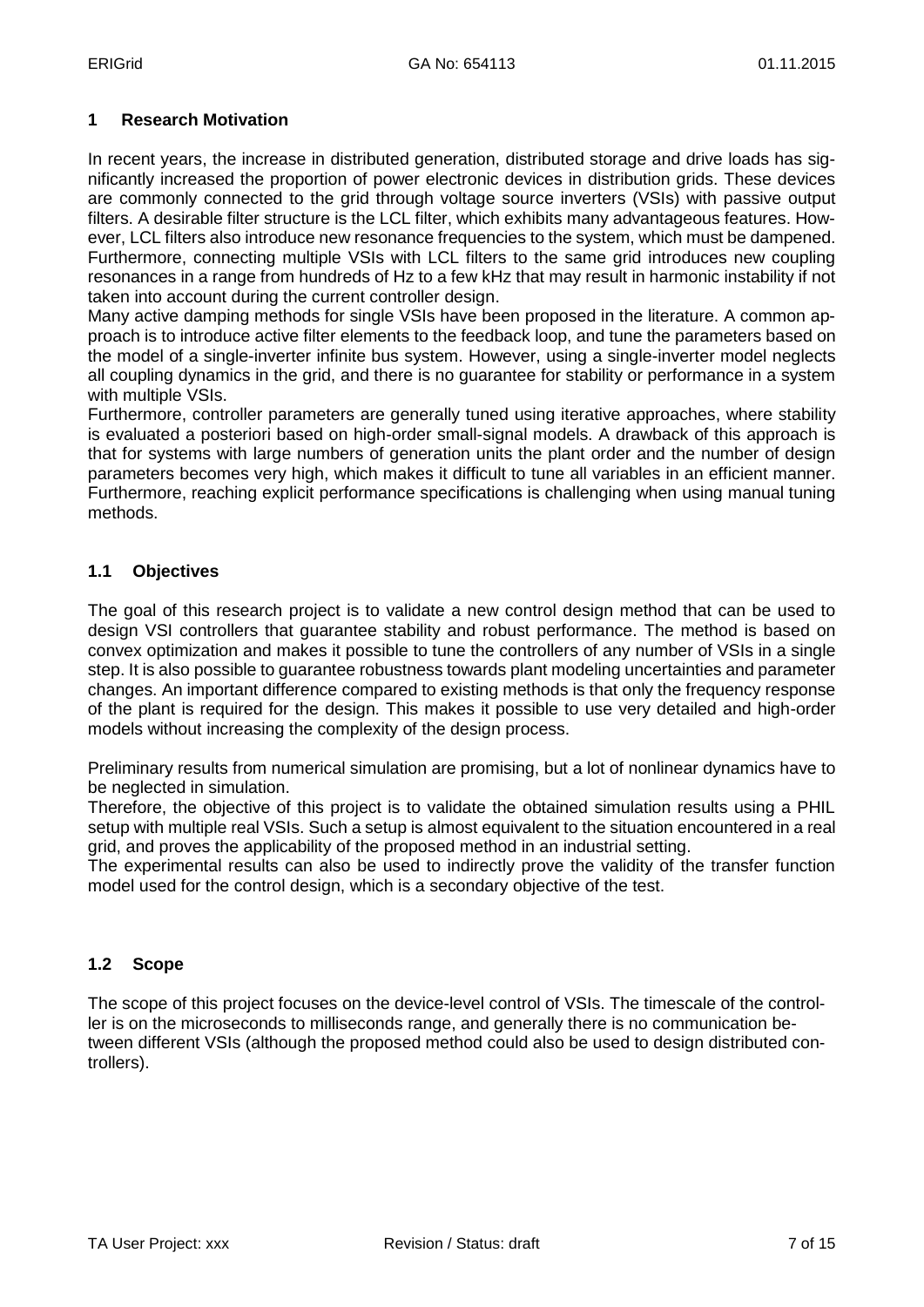## **1 Research Motivation**

In recent years, the increase in distributed generation, distributed storage and drive loads has significantly increased the proportion of power electronic devices in distribution grids. These devices are commonly connected to the grid through voltage source inverters (VSIs) with passive output filters. A desirable filter structure is the LCL filter, which exhibits many advantageous features. However, LCL filters also introduce new resonance frequencies to the system, which must be dampened. Furthermore, connecting multiple VSIs with LCL filters to the same grid introduces new coupling resonances in a range from hundreds of Hz to a few kHz that may result in harmonic instability if not taken into account during the current controller design.

Many active damping methods for single VSIs have been proposed in the literature. A common approach is to introduce active filter elements to the feedback loop, and tune the parameters based on the model of a single-inverter infinite bus system. However, using a single-inverter model neglects all coupling dynamics in the grid, and there is no guarantee for stability or performance in a system with multiple VSIs.

Furthermore, controller parameters are generally tuned using iterative approaches, where stability is evaluated a posteriori based on high-order small-signal models. A drawback of this approach is that for systems with large numbers of generation units the plant order and the number of design parameters becomes very high, which makes it difficult to tune all variables in an efficient manner. Furthermore, reaching explicit performance specifications is challenging when using manual tuning methods.

## **1.1 Objectives**

The goal of this research project is to validate a new control design method that can be used to design VSI controllers that guarantee stability and robust performance. The method is based on convex optimization and makes it possible to tune the controllers of any number of VSIs in a single step. It is also possible to guarantee robustness towards plant modeling uncertainties and parameter changes. An important difference compared to existing methods is that only the frequency response of the plant is required for the design. This makes it possible to use very detailed and high-order models without increasing the complexity of the design process.

Preliminary results from numerical simulation are promising, but a lot of nonlinear dynamics have to be neglected in simulation.

Therefore, the objective of this project is to validate the obtained simulation results using a PHIL setup with multiple real VSIs. Such a setup is almost equivalent to the situation encountered in a real grid, and proves the applicability of the proposed method in an industrial setting.

The experimental results can also be used to indirectly prove the validity of the transfer function model used for the control design, which is a secondary objective of the test.

## **1.2 Scope**

The scope of this project focuses on the device-level control of VSIs. The timescale of the controller is on the microseconds to milliseconds range, and generally there is no communication between different VSIs (although the proposed method could also be used to design distributed controllers).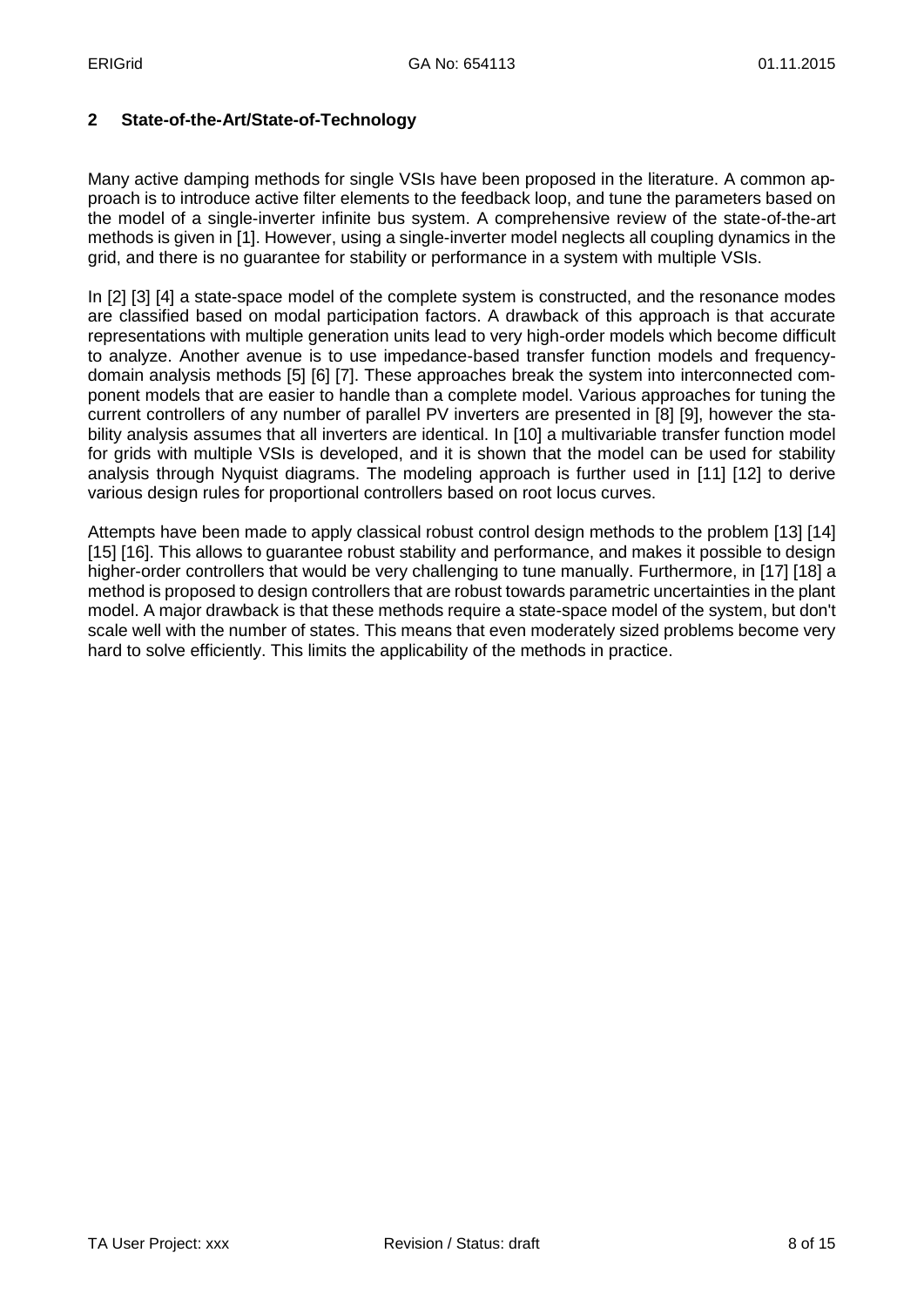### **2 State-of-the-Art/State-of-Technology**

Many active damping methods for single VSIs have been proposed in the literature. A common approach is to introduce active filter elements to the feedback loop, and tune the parameters based on the model of a single-inverter infinite bus system. A comprehensive review of the state-of-the-art methods is given in [1]. However, using a single-inverter model neglects all coupling dynamics in the grid, and there is no guarantee for stability or performance in a system with multiple VSIs.

In [2] [3] [4] a state-space model of the complete system is constructed, and the resonance modes are classified based on modal participation factors. A drawback of this approach is that accurate representations with multiple generation units lead to very high-order models which become difficult to analyze. Another avenue is to use impedance-based transfer function models and frequencydomain analysis methods [5] [6] [7]. These approaches break the system into interconnected component models that are easier to handle than a complete model. Various approaches for tuning the current controllers of any number of parallel PV inverters are presented in [8] [9], however the stability analysis assumes that all inverters are identical. In [10] a multivariable transfer function model for grids with multiple VSIs is developed, and it is shown that the model can be used for stability analysis through Nyquist diagrams. The modeling approach is further used in [11] [12] to derive various design rules for proportional controllers based on root locus curves.

Attempts have been made to apply classical robust control design methods to the problem [13] [14] [15] [16]. This allows to guarantee robust stability and performance, and makes it possible to design higher-order controllers that would be very challenging to tune manually. Furthermore, in [17] [18] a method is proposed to design controllers that are robust towards parametric uncertainties in the plant model. A major drawback is that these methods require a state-space model of the system, but don't scale well with the number of states. This means that even moderately sized problems become very hard to solve efficiently. This limits the applicability of the methods in practice.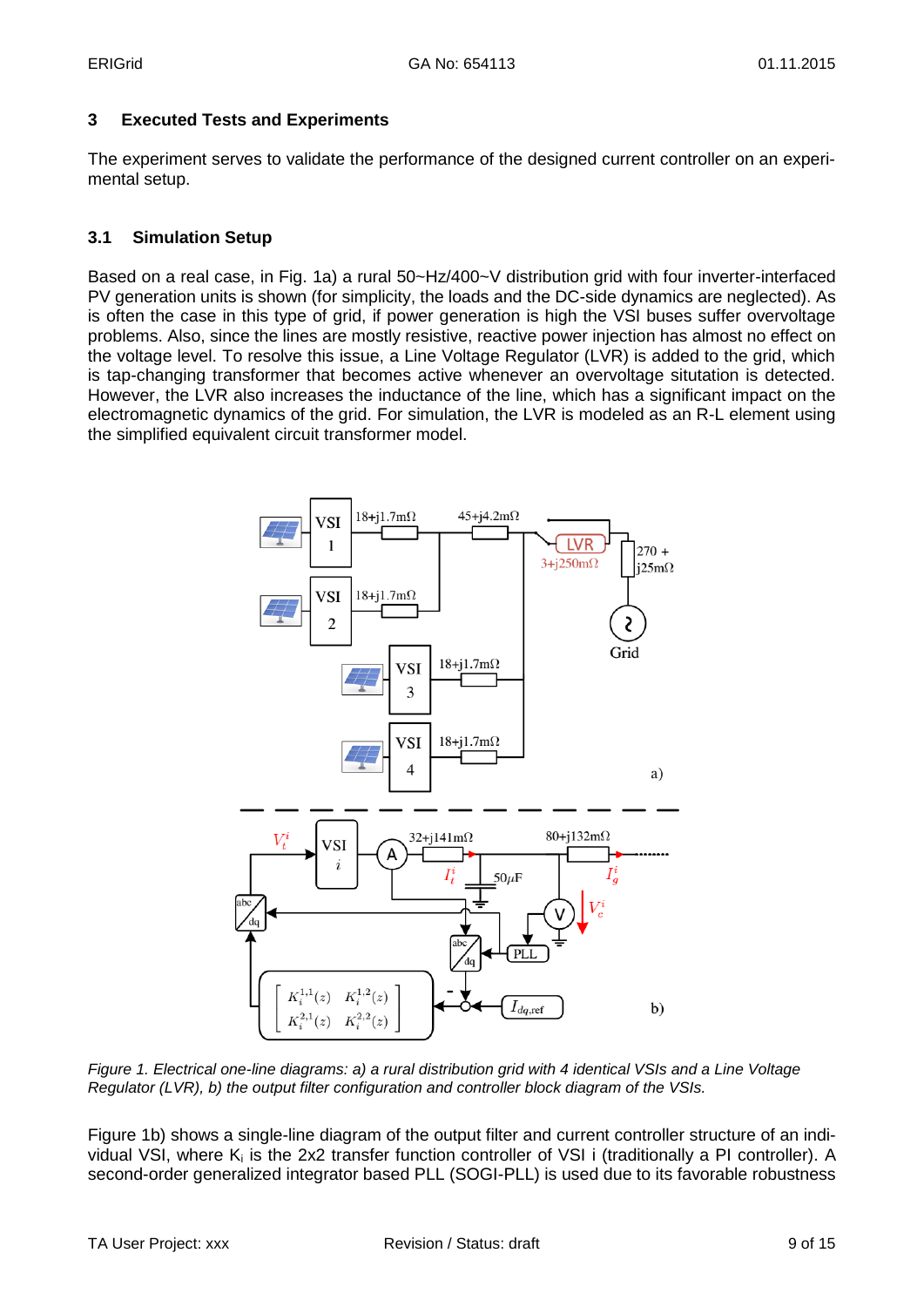## **3 Executed Tests and Experiments**

The experiment serves to validate the performance of the designed current controller on an experimental setup.

## **3.1 Simulation Setup**

Based on a real case, in Fig. 1a) a rural 50~Hz/400~V distribution grid with four inverter-interfaced PV generation units is shown (for simplicity, the loads and the DC-side dynamics are neglected). As is often the case in this type of grid, if power generation is high the VSI buses suffer overvoltage problems. Also, since the lines are mostly resistive, reactive power injection has almost no effect on the voltage level. To resolve this issue, a Line Voltage Regulator (LVR) is added to the grid, which is tap-changing transformer that becomes active whenever an overvoltage situtation is detected. However, the LVR also increases the inductance of the line, which has a significant impact on the electromagnetic dynamics of the grid. For simulation, the LVR is modeled as an R-L element using the simplified equivalent circuit transformer model.



*Figure 1. Electrical one-line diagrams: a) a rural distribution grid with 4 identical VSIs and a Line Voltage Regulator (LVR), b) the output filter configuration and controller block diagram of the VSIs.*

Figure 1b) shows a single-line diagram of the output filter and current controller structure of an individual VSI, where K<sup>i</sup> is the 2x2 transfer function controller of VSI i (traditionally a PI controller). A second-order generalized integrator based PLL (SOGI-PLL) is used due to its favorable robustness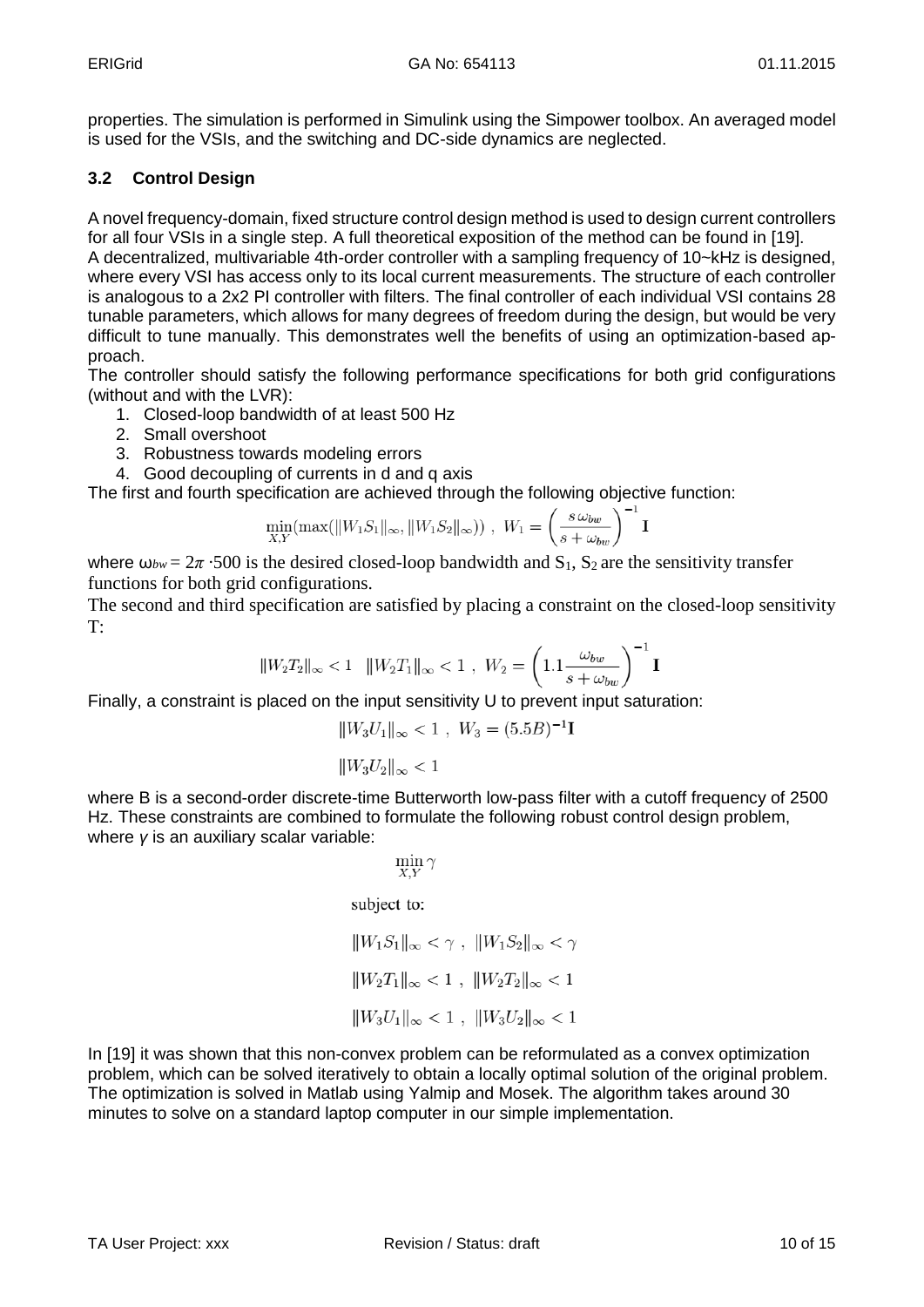properties. The simulation is performed in Simulink using the Simpower toolbox. An averaged model is used for the VSIs, and the switching and DC-side dynamics are neglected.

## **3.2 Control Design**

A novel frequency-domain, fixed structure control design method is used to design current controllers for all four VSIs in a single step. A full theoretical exposition of the method can be found in [19]. A decentralized, multivariable 4th-order controller with a sampling frequency of 10~kHz is designed, where every VSI has access only to its local current measurements. The structure of each controller is analogous to a 2x2 PI controller with filters. The final controller of each individual VSI contains 28 tunable parameters, which allows for many degrees of freedom during the design, but would be very difficult to tune manually. This demonstrates well the benefits of using an optimization-based approach.

The controller should satisfy the following performance specifications for both grid configurations (without and with the LVR):

- 1. Closed-loop bandwidth of at least 500 Hz
- 2. Small overshoot
- 3. Robustness towards modeling errors
- 4. Good decoupling of currents in d and q axis

The first and fourth specification are achieved through the following objective function:

$$
\min_{X,Y} (\max(||W_1S_1||_{\infty}, ||W_1S_2||_{\infty})) , W_1 = \left(\frac{s \,\omega_{bw}}{s + \omega_{bw}}\right)^{-1} \mathbf{I}
$$

where  $\omega_{bw} = 2\pi \cdot 500$  is the desired closed-loop bandwidth and S<sub>1</sub>, S<sub>2</sub> are the sensitivity transfer functions for both grid configurations.

The second and third specification are satisfied by placing a constraint on the closed-loop sensitivity T:

$$
||W_2T_2||_{\infty} < 1 \quad ||W_2T_1||_{\infty} < 1 \quad W_2 = \left(1.1 \frac{\omega_{bw}}{s + \omega_{bw}}\right)^{-1} \mathbf{I}
$$

Finally, a constraint is placed on the input sensitivity U to prevent input saturation:

$$
||W_3U_1||_{\infty} < 1 \ , \ W_3 = (5.5B)^{-1}\mathbf{I}
$$

 $||W_3U_2||_{\infty} < 1$ 

where B is a second-order discrete-time Butterworth low-pass filter with a cutoff frequency of 2500 Hz. These constraints are combined to formulate the following robust control design problem, where *γ* is an auxiliary scalar variable:

$$
\min_{X,Y} \gamma
$$

subject to:

$$
||W_1S_1||_{\infty} < \gamma, ||W_1S_2||_{\infty} < \gamma
$$
  

$$
||W_2T_1||_{\infty} < 1, ||W_2T_2||_{\infty} < 1
$$
  

$$
||W_3U_1||_{\infty} < 1, ||W_3U_2||_{\infty} < 1
$$

In [19] it was shown that this non-convex problem can be reformulated as a convex optimization problem, which can be solved iteratively to obtain a locally optimal solution of the original problem. The optimization is solved in Matlab using Yalmip and Mosek. The algorithm takes around 30 minutes to solve on a standard laptop computer in our simple implementation.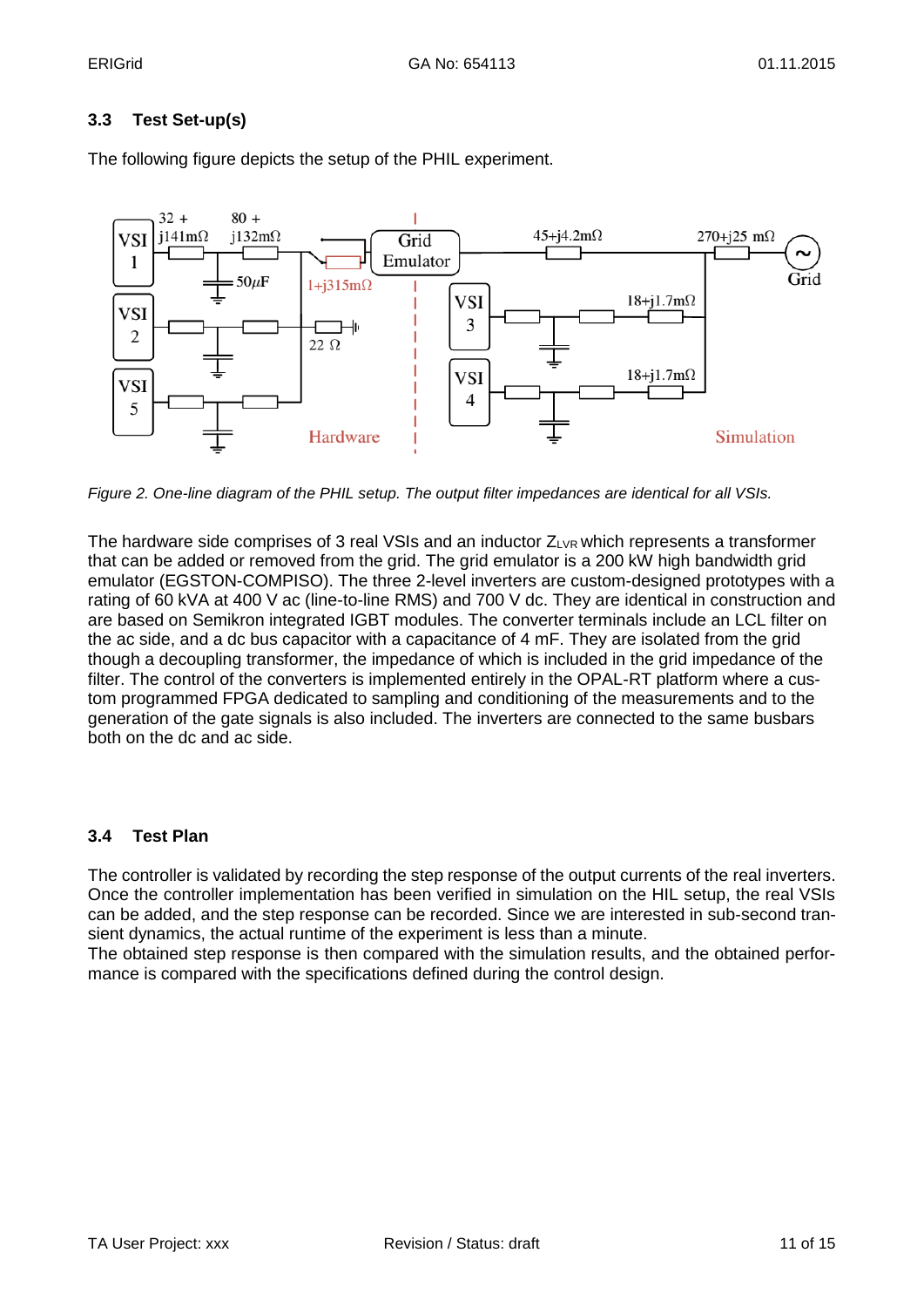## **3.3 Test Set-up(s)**



The following figure depicts the setup of the PHIL experiment.

*Figure 2. One-line diagram of the PHIL setup. The output filter impedances are identical for all VSIs.*

The hardware side comprises of 3 real VSIs and an inductor  $Z_{LVR}$  which represents a transformer that can be added or removed from the grid. The grid emulator is a 200 kW high bandwidth grid emulator (EGSTON-COMPISO). The three 2-level inverters are custom-designed prototypes with a rating of 60 kVA at 400 V ac (line-to-line RMS) and 700 V dc. They are identical in construction and are based on Semikron integrated IGBT modules. The converter terminals include an LCL filter on the ac side, and a dc bus capacitor with a capacitance of 4 mF. They are isolated from the grid though a decoupling transformer, the impedance of which is included in the grid impedance of the filter. The control of the converters is implemented entirely in the OPAL-RT platform where a custom programmed FPGA dedicated to sampling and conditioning of the measurements and to the generation of the gate signals is also included. The inverters are connected to the same busbars both on the dc and ac side.

## **3.4 Test Plan**

The controller is validated by recording the step response of the output currents of the real inverters. Once the controller implementation has been verified in simulation on the HIL setup, the real VSIs can be added, and the step response can be recorded. Since we are interested in sub-second transient dynamics, the actual runtime of the experiment is less than a minute.

The obtained step response is then compared with the simulation results, and the obtained performance is compared with the specifications defined during the control design.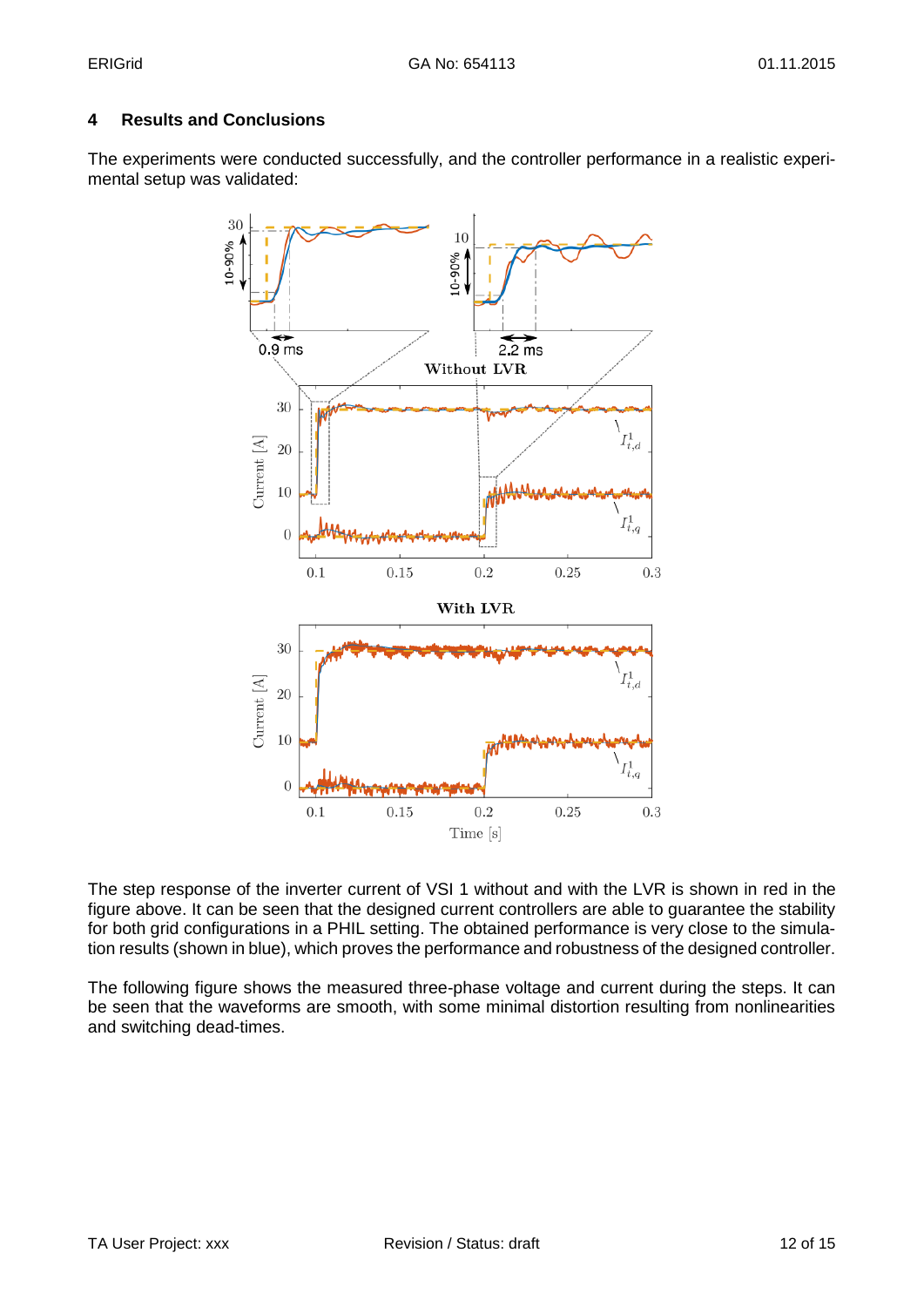## **4 Results and Conclusions**

The experiments were conducted successfully, and the controller performance in a realistic experimental setup was validated:



The step response of the inverter current of VSI 1 without and with the LVR is shown in red in the figure above. It can be seen that the designed current controllers are able to guarantee the stability for both grid configurations in a PHIL setting. The obtained performance is very close to the simulation results (shown in blue), which proves the performance and robustness of the designed controller.

The following figure shows the measured three-phase voltage and current during the steps. It can be seen that the waveforms are smooth, with some minimal distortion resulting from nonlinearities and switching dead-times.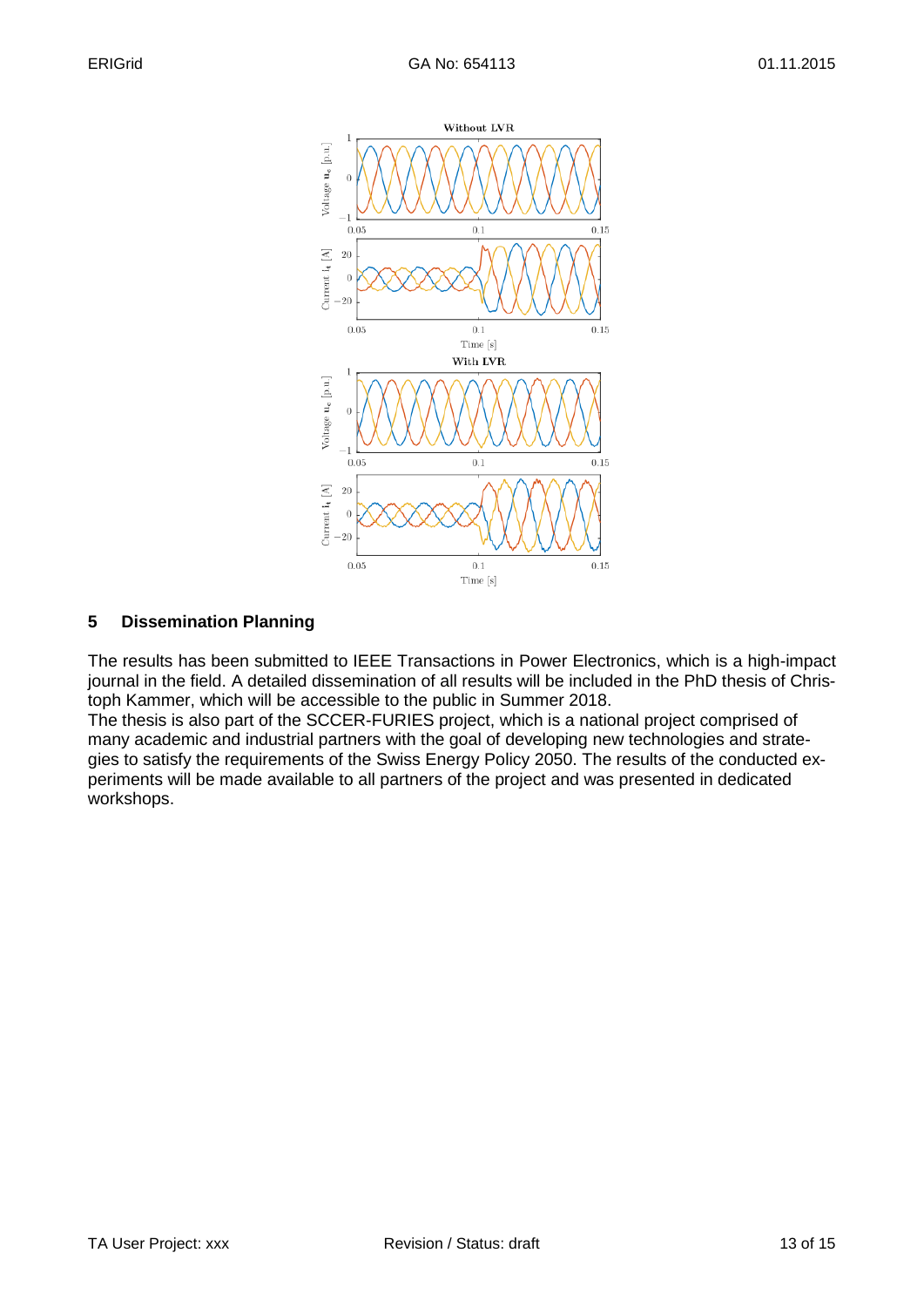

## **5 Dissemination Planning**

The results has been submitted to IEEE Transactions in Power Electronics, which is a high-impact journal in the field. A detailed dissemination of all results will be included in the PhD thesis of Christoph Kammer, which will be accessible to the public in Summer 2018.

The thesis is also part of the SCCER-FURIES project, which is a national project comprised of many academic and industrial partners with the goal of developing new technologies and strategies to satisfy the requirements of the Swiss Energy Policy 2050. The results of the conducted experiments will be made available to all partners of the project and was presented in dedicated workshops.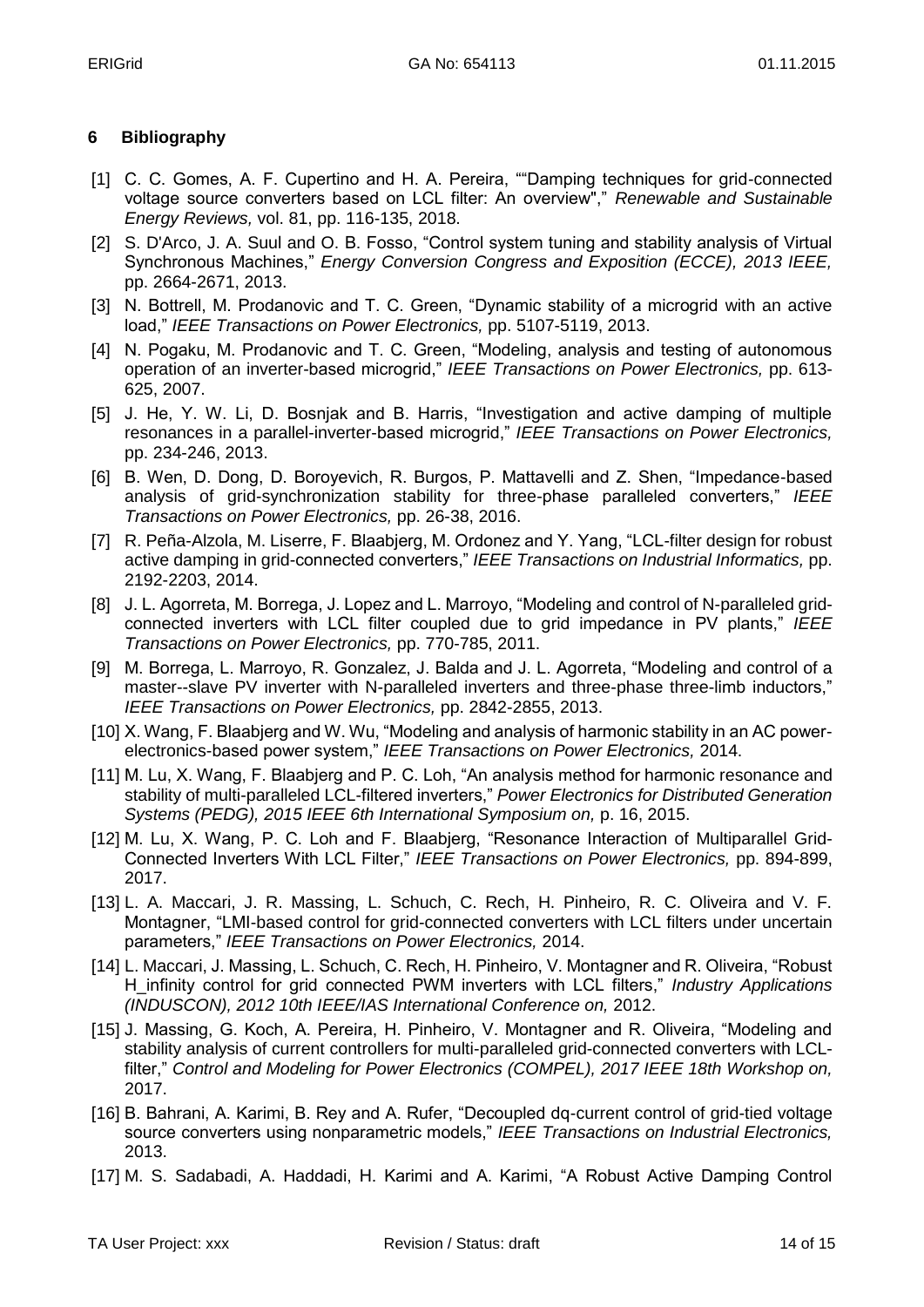## **6 Bibliography**

- [1] C. C. Gomes, A. F. Cupertino and H. A. Pereira, ""Damping techniques for grid-connected voltage source converters based on LCL filter: An overview"," *Renewable and Sustainable Energy Reviews,* vol. 81, pp. 116-135, 2018.
- [2] S. D'Arco, J. A. Suul and O. B. Fosso, "Control system tuning and stability analysis of Virtual Synchronous Machines," *Energy Conversion Congress and Exposition (ECCE), 2013 IEEE,*  pp. 2664-2671, 2013.
- [3] N. Bottrell, M. Prodanovic and T. C. Green, "Dynamic stability of a microgrid with an active load," *IEEE Transactions on Power Electronics,* pp. 5107-5119, 2013.
- [4] N. Pogaku, M. Prodanovic and T. C. Green, "Modeling, analysis and testing of autonomous operation of an inverter-based microgrid," *IEEE Transactions on Power Electronics,* pp. 613- 625, 2007.
- [5] J. He, Y. W. Li, D. Bosnjak and B. Harris, "Investigation and active damping of multiple resonances in a parallel-inverter-based microgrid," *IEEE Transactions on Power Electronics,*  pp. 234-246, 2013.
- [6] B. Wen, D. Dong, D. Boroyevich, R. Burgos, P. Mattavelli and Z. Shen, "Impedance-based analysis of grid-synchronization stability for three-phase paralleled converters," *IEEE Transactions on Power Electronics,* pp. 26-38, 2016.
- [7] R. Peña-Alzola, M. Liserre, F. Blaabjerg, M. Ordonez and Y. Yang, "LCL-filter design for robust active damping in grid-connected converters," *IEEE Transactions on Industrial Informatics,* pp. 2192-2203, 2014.
- [8] J. L. Agorreta, M. Borrega, J. Lopez and L. Marroyo, "Modeling and control of N-paralleled gridconnected inverters with LCL filter coupled due to grid impedance in PV plants," *IEEE Transactions on Power Electronics,* pp. 770-785, 2011.
- [9] M. Borrega, L. Marroyo, R. Gonzalez, J. Balda and J. L. Agorreta, "Modeling and control of a master--slave PV inverter with N-paralleled inverters and three-phase three-limb inductors," *IEEE Transactions on Power Electronics,* pp. 2842-2855, 2013.
- [10] X. Wang, F. Blaabjerg and W. Wu, "Modeling and analysis of harmonic stability in an AC powerelectronics-based power system," *IEEE Transactions on Power Electronics,* 2014.
- [11] M. Lu, X. Wang, F. Blaabjerg and P. C. Loh, "An analysis method for harmonic resonance and stability of multi-paralleled LCL-filtered inverters," *Power Electronics for Distributed Generation Systems (PEDG), 2015 IEEE 6th International Symposium on,* p. 16, 2015.
- [12] M. Lu, X. Wang, P. C. Loh and F. Blaabjerg, "Resonance Interaction of Multiparallel Grid-Connected Inverters With LCL Filter," *IEEE Transactions on Power Electronics,* pp. 894-899, 2017.
- [13] L. A. Maccari, J. R. Massing, L. Schuch, C. Rech, H. Pinheiro, R. C. Oliveira and V. F. Montagner, "LMI-based control for grid-connected converters with LCL filters under uncertain parameters," *IEEE Transactions on Power Electronics,* 2014.
- [14] L. Maccari, J. Massing, L. Schuch, C. Rech, H. Pinheiro, V. Montagner and R. Oliveira, "Robust H\_infinity control for grid connected PWM inverters with LCL filters," *Industry Applications (INDUSCON), 2012 10th IEEE/IAS International Conference on,* 2012.
- [15] J. Massing, G. Koch, A. Pereira, H. Pinheiro, V. Montagner and R. Oliveira, "Modeling and stability analysis of current controllers for multi-paralleled grid-connected converters with LCLfilter," Control and Modeling for Power Electronics (COMPEL), 2017 IEEE 18th Workshop on, 2017.
- [16] B. Bahrani, A. Karimi, B. Rey and A. Rufer, "Decoupled dg-current control of grid-tied voltage source converters using nonparametric models," *IEEE Transactions on Industrial Electronics,*  2013.
- [17] M. S. Sadabadi, A. Haddadi, H. Karimi and A. Karimi, "A Robust Active Damping Control